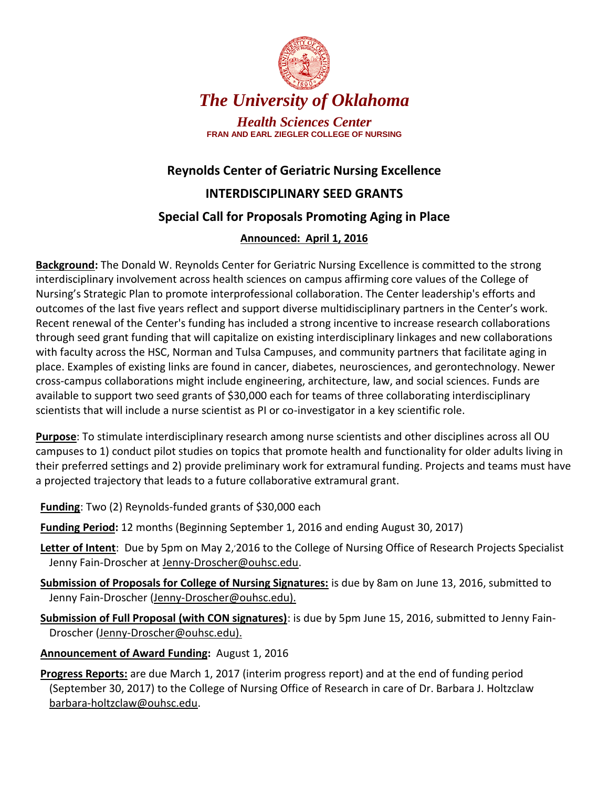

# *The University of Oklahoma*

*Health Sciences Center* **FRAN AND EARL ZIEGLER COLLEGE OF NURSING**

# **Reynolds Center of Geriatric Nursing Excellence**

### **INTERDISCIPLINARY SEED GRANTS**

## **Special Call for Proposals Promoting Aging in Place**

### **Announced: April 1, 2016**

**Background:** The Donald W. Reynolds Center for Geriatric Nursing Excellence is committed to the strong interdisciplinary involvement across health sciences on campus affirming core values of the College of Nursing's Strategic Plan to promote interprofessional collaboration. The Center leadership's efforts and outcomes of the last five years reflect and support diverse multidisciplinary partners in the Center's work. Recent renewal of the Center's funding has included a strong incentive to increase research collaborations through seed grant funding that will capitalize on existing interdisciplinary linkages and new collaborations with faculty across the HSC, Norman and Tulsa Campuses, and community partners that facilitate aging in place. Examples of existing links are found in cancer, diabetes, neurosciences, and gerontechnology. Newer cross-campus collaborations might include engineering, architecture, law, and social sciences. Funds are available to support two seed grants of \$30,000 each for teams of three collaborating interdisciplinary scientists that will include a nurse scientist as PI or co-investigator in a key scientific role.

**Purpose**: To stimulate interdisciplinary research among nurse scientists and other disciplines across all OU campuses to 1) conduct pilot studies on topics that promote health and functionality for older adults living in their preferred settings and 2) provide preliminary work for extramural funding. Projects and teams must have a projected trajectory that leads to a future collaborative extramural grant.

- **Funding**: Two (2) Reynolds-funded grants of \$30,000 each
- **Funding Period:** 12 months (Beginning September 1, 2016 and ending August 30, 2017)
- Letter of Intent: Due by 5pm on May 2, 2016 to the College of Nursing Office of Research Projects Specialist Jenny Fain-Droscher at Jenny-Droscher@ouhsc.edu.
- **Submission of Proposals for College of Nursing Signatures:** is due by 8am on June 13, 2016, submitted to Jenny Fain-Droscher (Jenny-Droscher@ouhsc.edu).
- **Submission of Full Proposal (with CON signatures)**: is due by 5pm June 15, 2016, submitted to Jenny Fain-Droscher (Jenny-Droscher@ouhsc.edu).
- **Announcement of Award Funding:** August 1, 2016
- **Progress Reports:** are due March 1, 2017 (interim progress report) and at the end of funding period (September 30, 2017) to the College of Nursing Office of Research in care of Dr. Barbara J. Holtzclaw barbara-holtzclaw@ouhsc.edu.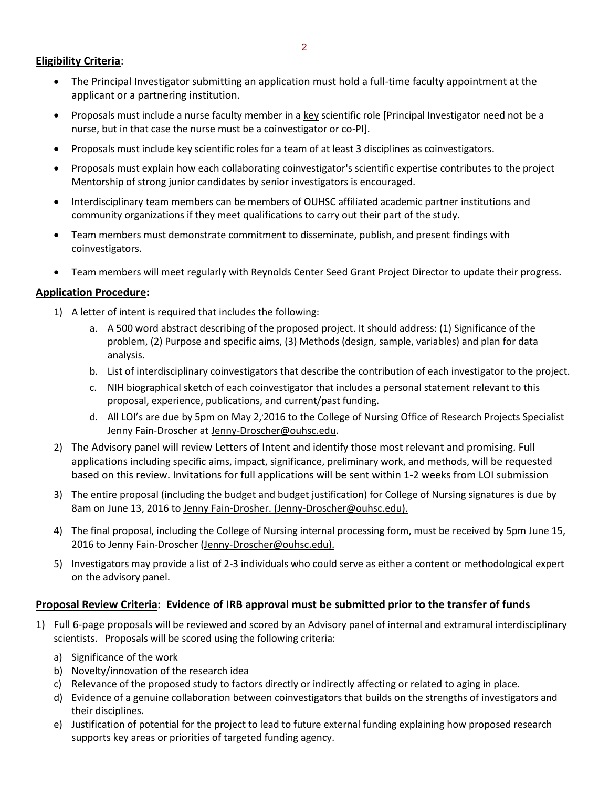#### **Eligibility Criteria**:

- The Principal Investigator submitting an application must hold a full-time faculty appointment at the applicant or a partnering institution.
- Proposals must include a nurse faculty member in a key scientific role [Principal Investigator need not be a nurse, but in that case the nurse must be a coinvestigator or co-PI].
- Proposals must include key scientific roles for a team of at least 3 disciplines as coinvestigators.
- Proposals must explain how each collaborating coinvestigator's scientific expertise contributes to the project Mentorship of strong junior candidates by senior investigators is encouraged.
- Interdisciplinary team members can be members of OUHSC affiliated academic partner institutions and community organizations if they meet qualifications to carry out their part of the study.
- Team members must demonstrate commitment to disseminate, publish, and present findings with coinvestigators.
- Team members will meet regularly with Reynolds Center Seed Grant Project Director to update their progress.

#### **Application Procedure:**

- 1) A letter of intent is required that includes the following:
	- a. A 500 word abstract describing of the proposed project. It should address: (1) Significance of the problem, (2) Purpose and specific aims, (3) Methods (design, sample, variables) and plan for data analysis.
	- b. List of interdisciplinary coinvestigators that describe the contribution of each investigator to the project.
	- c. NIH biographical sketch of each coinvestigator that includes a personal statement relevant to this proposal, experience, publications, and current/past funding.
	- d. All LOI's are due by 5pm on May 2, 2016 to the College of Nursing Office of Research Projects Specialist Jenny Fain-Droscher at Jenny-Droscher@ouhsc.edu.
- 2) The Advisory panel will review Letters of Intent and identify those most relevant and promising. Full applications including specific aims, impact, significance, preliminary work, and methods, will be requested based on this review. Invitations for full applications will be sent within 1-2 weeks from LOI submission
- 3) The entire proposal (including the budget and budget justification) for College of Nursing signatures is due by 8am on June 13, 2016 to Jenny Fain-Drosher. (Jenny-Droscher@ouhsc.edu).
- 4) The final proposal, including the College of Nursing internal processing form, must be received by 5pm June 15, 2016 to Jenny Fain-Droscher (Jenny-Droscher@ouhsc.edu).
- 5) Investigators may provide a list of 2-3 individuals who could serve as either a content or methodological expert on the advisory panel.

#### **Proposal Review Criteria: Evidence of IRB approval must be submitted prior to the transfer of funds**

- 1) Full 6-page proposals will be reviewed and scored by an Advisory panel of internal and extramural interdisciplinary scientists. Proposals will be scored using the following criteria:
	- a) Significance of the work
	- b) Novelty/innovation of the research idea
	- c) Relevance of the proposed study to factors directly or indirectly affecting or related to aging in place.
	- d) Evidence of a genuine collaboration between coinvestigators that builds on the strengths of investigators and their disciplines.
	- e) Justification of potential for the project to lead to future external funding explaining how proposed research supports key areas or priorities of targeted funding agency.